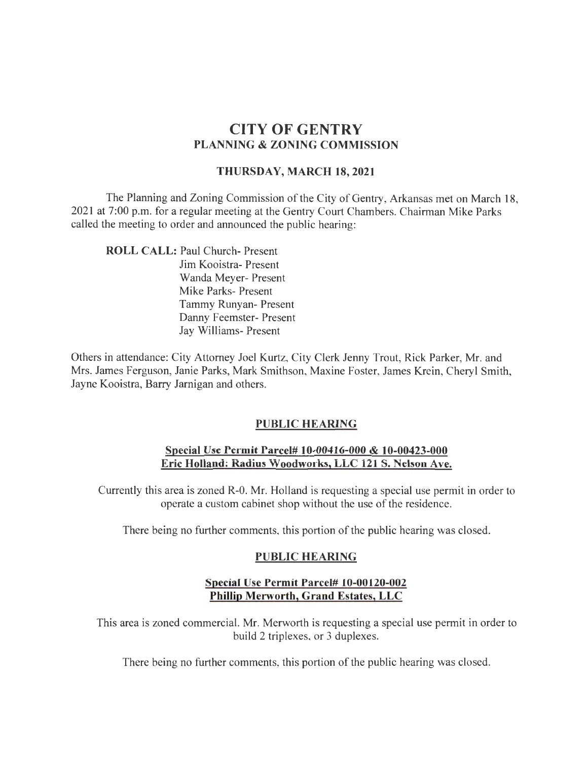# CITY OF GENTRY PLANNING & ZONING COMMISSION

### THURSDAY, MARCH 18,2021

The Planning and Zoning Commission of the City of Gentry, Arkansas met on March 18, 2021 at 7:00 p.m. for a regular meeting at the Gentry Court Chambers. Chairman Mike Parks called the meeting to order and announced the public hearing:

ROLL CALL: Paul Church- Present Jim Kooistra- Present Wanda Meyer- Present Mike Parks- Present Tammy Runyan- Present Danny Feemster- Present Jay Williams- Present

Others in attendance: City Attorney Joel Kurtz, City Clerk Jenny Trout, Rick Parker, Mr. and Mrs. James Ferguson, Janie Parks, Mark Smithson, Maxine Foster, James Krein, Cheryl Smith, Jayne Kooistra, Barry Jarnigan and others.

### PUBLIC HEARING

#### Special Use Permit Parcel# 10-00416-000 & 10-00423-000 Eric Holland: Radius Woodworks, LLC 121 S. Nelson Ave.

Currently this area is zoned R-0. Mr. Holland is requesting a special use permit in order to operate a custom cabinet shop without the use of the residence.

There being no further comments, this portion of the public hearing was closed.

### PUBLIC HEARING

### Special Use Permit Parcel# 10-00120-002 Phillip Merworth, Grand Estates, LLC

This area is zoned commercial. Mr. Merworth is requesting a special use permit in order to build 2 triplexes, or 3 duplexes.

There being no further comments, this portion of the public hearing was closed.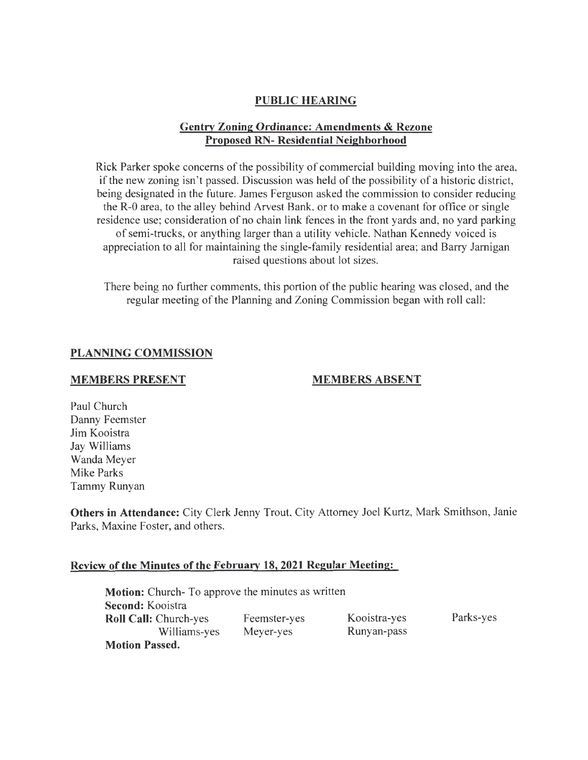# **PUBLIC HEARING**

# **Gentry Zoning Ordinance: Amendments & Rezone Proposed RN- Residential Neighborhood**

Rick Parker spoke concerns of the possibility of commercial building moving into the area, if the new zoning isn't passed. Discussion was held of the possibility of a historic district, being designated in the future. James Ferguson asked the commission to consider reducing the R-0 area, to the alley behind Arvest Bank, or to make a covenant for office or single residence use; consideration of no chain link fences in the front yards and, no yard parking of semi-trucks, or anything larger than a utility vehicle. Nathan Kennedy voiced is appreciation to all for maintaining the single-family residential area; and Barry Jarnigan raised questions about lot sizes.

There being no further comments, this portion of the public hearing was closed, and the regular meeting of the Planning and Zoning Commission began with roll call:

#### **PLANNING COMMISSION**

#### **MEMBERS PRESENT**

#### **MEMBERS ABSENT**

Paul Church Danny Feemster Jim Kooistra Jay Williams Wanda Meyer Mike Parks Tammy Runyan

**Others in Attendance:** City Clerk Jenny Trout, City Attorney Joel Kurtz, Mark Smithson, Janie Parks, Maxine Foster, and others.

### **Review of the Minutes of the February 18, 2021 Regular Meeting:**

| <b>Motion:</b> Church-To approve the minutes as written |              |              |           |
|---------------------------------------------------------|--------------|--------------|-----------|
| <b>Second:</b> Kooistra                                 |              |              |           |
| <b>Roll Call: Church-yes</b>                            | Feemster-yes | Kooistra-yes | Parks-yes |
| Williams-yes                                            | Meyer-yes    | Runyan-pass  |           |
| <b>Motion Passed.</b>                                   |              |              |           |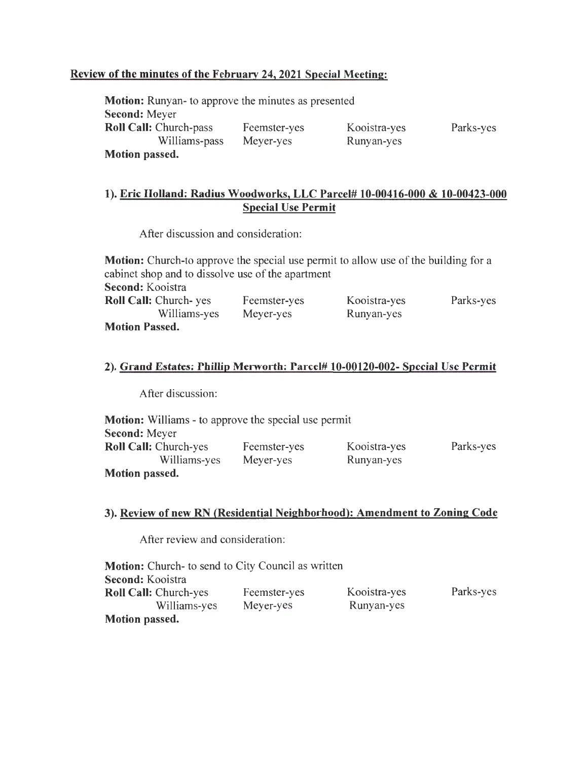# Review of the minutes of the February 24, 2021 Special Meeting:

| <b>Motion:</b> Runyan- to approve the minutes as presented |              |              |           |
|------------------------------------------------------------|--------------|--------------|-----------|
| <b>Second: Meyer</b>                                       |              |              |           |
| <b>Roll Call: Church-pass</b>                              | Feemster-yes | Kooistra-yes | Parks-yes |
| Williams-pass                                              | Meyer-yes    | Runyan-yes   |           |
| <b>Motion passed.</b>                                      |              |              |           |

# 1). Eric Holland: Radius Woodworks, LLC Parcel# 10-00416-000 & 10-00423-000 Special Use Permit

After discussion and consideration:

| <b>Motion:</b> Church-to approve the special use permit to allow use of the building for a |              |              |           |
|--------------------------------------------------------------------------------------------|--------------|--------------|-----------|
| cabinet shop and to dissolve use of the apartment                                          |              |              |           |
| Second: Kooistra                                                                           |              |              |           |
| <b>Roll Call: Church- yes</b>                                                              | Feemster-yes | Kooistra-yes | Parks-yes |
| Williams-yes                                                                               | Meyer-yes    | Runyan-yes   |           |
| <b>Motion Passed.</b>                                                                      |              |              |           |

#### 2). Grand Estates: Phillip Merworth: Parcel# 10-00120-002- Special Use Permit

After discussion:

| <b>Motion:</b> Williams - to approve the special use permit |              |              |           |
|-------------------------------------------------------------|--------------|--------------|-----------|
| <b>Second: Meyer</b>                                        |              |              |           |
| <b>Roll Call: Church-yes</b>                                | Feemster-yes | Kooistra-yes | Parks-yes |
| Williams-yes                                                | Meyer-yes    | Runyan-yes   |           |
| <b>Motion passed.</b>                                       |              |              |           |

## 3). Review of new RN (Residential Neighborhood): Amendment to Zoning Code

After review and consideration:

| <b>Motion:</b> Church- to send to City Council as written |              |              |           |
|-----------------------------------------------------------|--------------|--------------|-----------|
| Second: Kooistra                                          |              |              |           |
| <b>Roll Call: Church-yes</b>                              | Feemster-yes | Kooistra-yes | Parks-yes |
| Williams-yes                                              | Meyer-yes    | Runyan-yes   |           |
| <b>Motion passed.</b>                                     |              |              |           |